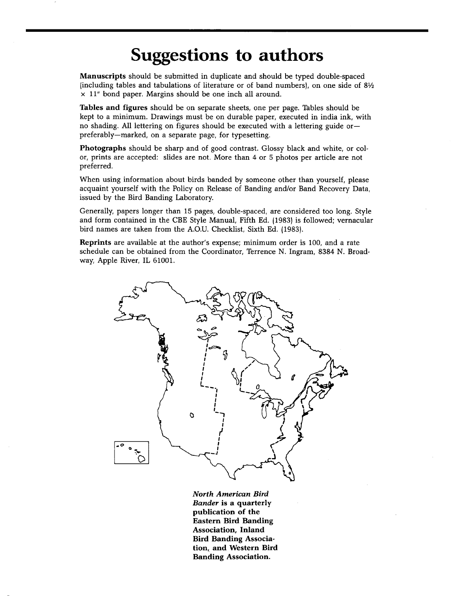## **Suggestions to authors**

**Manuscripts should be submitted in duplicate and should be typed double-spaced {including tables and tabulations of literature or of band numbers), on one side of 8V• x 11" bond paper. Margins should be one inch all around.** 

**Tables and figures should be on separate sheets, one per page. Tables should be kept to a minimum. Drawings must be on durable paper, executed in india ink, with no shading. All lettering on figures should be executed with a lettering guide or- preferably--marked, on a separate page, for typesetting.** 

**Photographs should be sharp and of good contrast. Glossy black and white, or color, prints are accepted: slides are not. More than 4 or 5 photos per article are not preferred.** 

**When using information about birds banded by someone other than yourself, please acquaint yourself with the Policy on Release of Banding and/or Band Recovery Data, issued by the Bird Banding Laboratory.** 

**Generally, papers longer than 15 pages, double-spaced, are considered too long. Style and form contained in the CBE Style Manual, Fifth Ed. {1983) is followed; vernacular bird names are taken from the A.O.U. Checklist, Sixth Ed. {1983).** 

**Reprints are available at the author's expense; minimum order is 100, and a rate schedule can be obtained from the Coordinator, Terrence N. Ingram, 8384 N. Broadway, Apple River, IL 61001.** 



**North American Bird Bander is a quarterly publication of the Eastern Bird Banding Association, Inland Bird Banding Associa**tion, and Western Bird **Banding Association.**